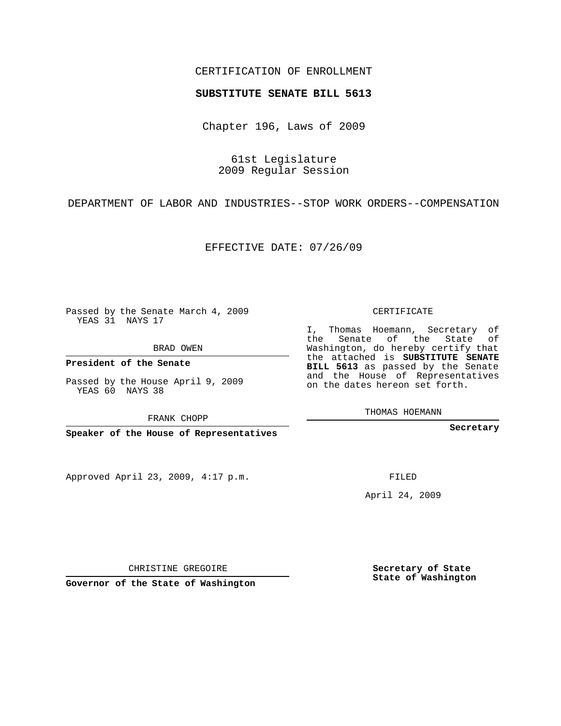## CERTIFICATION OF ENROLLMENT

## **SUBSTITUTE SENATE BILL 5613**

Chapter 196, Laws of 2009

61st Legislature 2009 Regular Session

DEPARTMENT OF LABOR AND INDUSTRIES--STOP WORK ORDERS--COMPENSATION

EFFECTIVE DATE: 07/26/09

Passed by the Senate March 4, 2009 YEAS 31 NAYS 17

BRAD OWEN

**President of the Senate**

Passed by the House April 9, 2009 YEAS 60 NAYS 38

FRANK CHOPP

**Speaker of the House of Representatives**

Approved April 23, 2009, 4:17 p.m.

CERTIFICATE

I, Thomas Hoemann, Secretary of the Senate of the State of Washington, do hereby certify that the attached is **SUBSTITUTE SENATE BILL 5613** as passed by the Senate and the House of Representatives on the dates hereon set forth.

THOMAS HOEMANN

**Secretary**

FILED

April 24, 2009

**Secretary of State State of Washington**

CHRISTINE GREGOIRE

**Governor of the State of Washington**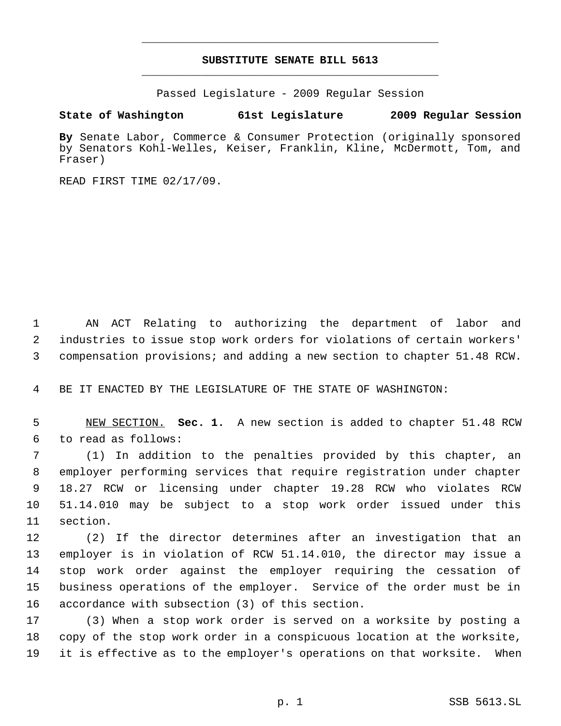## **SUBSTITUTE SENATE BILL 5613** \_\_\_\_\_\_\_\_\_\_\_\_\_\_\_\_\_\_\_\_\_\_\_\_\_\_\_\_\_\_\_\_\_\_\_\_\_\_\_\_\_\_\_\_\_

\_\_\_\_\_\_\_\_\_\_\_\_\_\_\_\_\_\_\_\_\_\_\_\_\_\_\_\_\_\_\_\_\_\_\_\_\_\_\_\_\_\_\_\_\_

Passed Legislature - 2009 Regular Session

## **State of Washington 61st Legislature 2009 Regular Session**

**By** Senate Labor, Commerce & Consumer Protection (originally sponsored by Senators Kohl-Welles, Keiser, Franklin, Kline, McDermott, Tom, and Fraser)

READ FIRST TIME 02/17/09.

 AN ACT Relating to authorizing the department of labor and industries to issue stop work orders for violations of certain workers' compensation provisions; and adding a new section to chapter 51.48 RCW.

BE IT ENACTED BY THE LEGISLATURE OF THE STATE OF WASHINGTON:

 NEW SECTION. **Sec. 1.** A new section is added to chapter 51.48 RCW to read as follows:

 (1) In addition to the penalties provided by this chapter, an employer performing services that require registration under chapter 18.27 RCW or licensing under chapter 19.28 RCW who violates RCW 51.14.010 may be subject to a stop work order issued under this section.

 (2) If the director determines after an investigation that an employer is in violation of RCW 51.14.010, the director may issue a stop work order against the employer requiring the cessation of business operations of the employer. Service of the order must be in accordance with subsection (3) of this section.

 (3) When a stop work order is served on a worksite by posting a copy of the stop work order in a conspicuous location at the worksite, it is effective as to the employer's operations on that worksite. When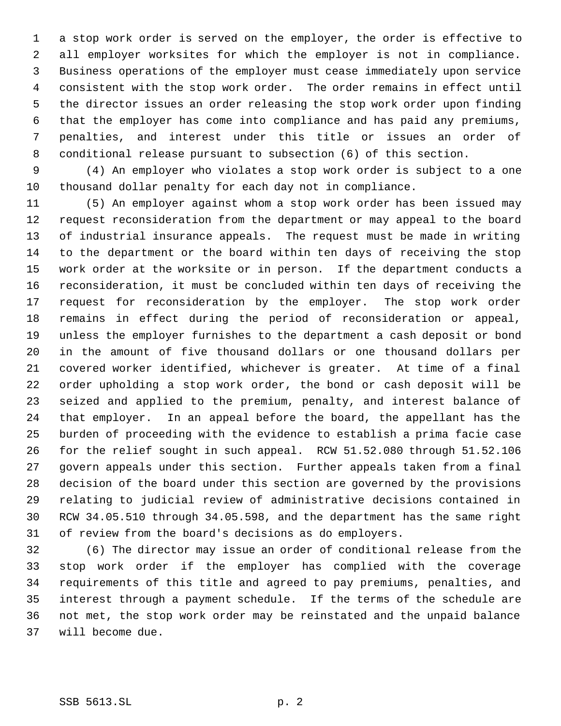a stop work order is served on the employer, the order is effective to all employer worksites for which the employer is not in compliance. Business operations of the employer must cease immediately upon service consistent with the stop work order. The order remains in effect until the director issues an order releasing the stop work order upon finding that the employer has come into compliance and has paid any premiums, penalties, and interest under this title or issues an order of conditional release pursuant to subsection (6) of this section.

 (4) An employer who violates a stop work order is subject to a one thousand dollar penalty for each day not in compliance.

 (5) An employer against whom a stop work order has been issued may request reconsideration from the department or may appeal to the board of industrial insurance appeals. The request must be made in writing to the department or the board within ten days of receiving the stop work order at the worksite or in person. If the department conducts a reconsideration, it must be concluded within ten days of receiving the request for reconsideration by the employer. The stop work order remains in effect during the period of reconsideration or appeal, unless the employer furnishes to the department a cash deposit or bond in the amount of five thousand dollars or one thousand dollars per covered worker identified, whichever is greater. At time of a final order upholding a stop work order, the bond or cash deposit will be seized and applied to the premium, penalty, and interest balance of that employer. In an appeal before the board, the appellant has the burden of proceeding with the evidence to establish a prima facie case for the relief sought in such appeal. RCW 51.52.080 through 51.52.106 govern appeals under this section. Further appeals taken from a final decision of the board under this section are governed by the provisions relating to judicial review of administrative decisions contained in RCW 34.05.510 through 34.05.598, and the department has the same right of review from the board's decisions as do employers.

 (6) The director may issue an order of conditional release from the stop work order if the employer has complied with the coverage requirements of this title and agreed to pay premiums, penalties, and interest through a payment schedule. If the terms of the schedule are not met, the stop work order may be reinstated and the unpaid balance will become due.